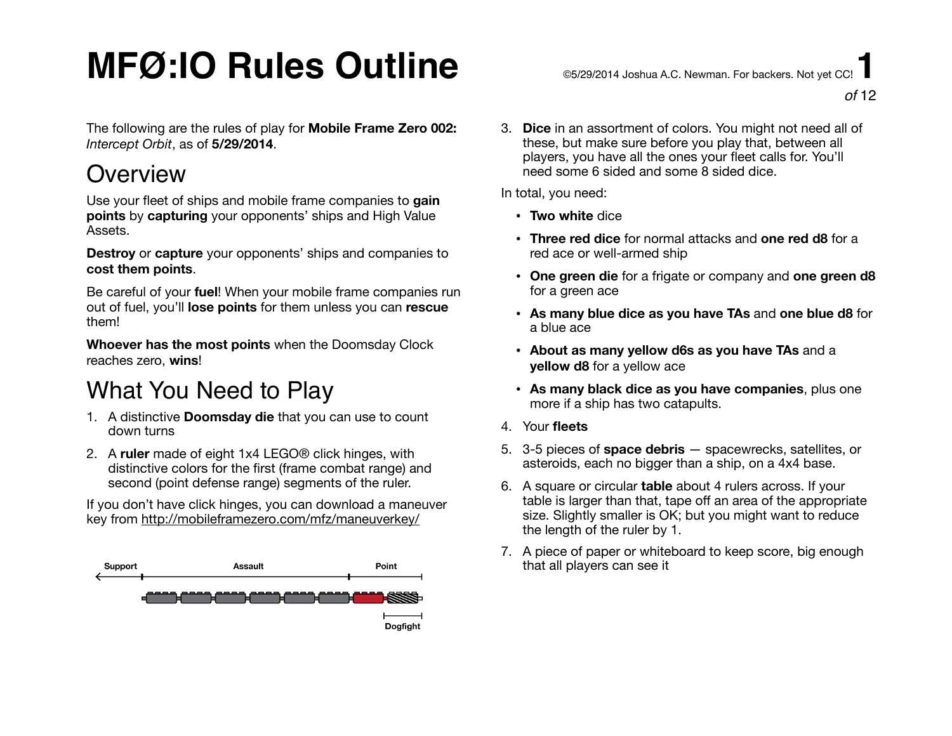# $\mathsf{MFG:IO}$  Rules Outline  $\mathsf{C}$   $\mathsf{C}$  and  $\mathsf{C}$  and  $\mathsf{C}$  and  $\mathsf{C}$  and  $\mathsf{C}$  and  $\mathsf{C}$  and  $\mathsf{C}$  and  $\mathsf{C}$  and  $\mathsf{C}$  and  $\mathsf{C}$  and  $\mathsf{C}$  and  $\mathsf{C}$  and  $\mathsf{C}$  and  $\mathsf{C}$  and  $\mathsf$

The following are the rules of play for **Mobile Frame Zero 002:**  *Intercept Orbit*, as of **5/29/2014**.

### **Overview**

Use your fleet of ships and mobile frame companies to **gain points** by **capturing** your opponents' ships and High Value Assets.

**Destroy** or **capture** your opponents' ships and companies to **cost them points**.

Be careful of your **fuel**! When your mobile frame companies run out of fuel, you'll **lose points** for them unless you can **rescue** them!

**Whoever has the most points** when the Doomsday Clock reaches zero, **wins**!

### What You Need to Play

- 1. A distinctive **Doomsday die** that you can use to count down turns
- 2. A **ruler** made of eight 1x4 LEGO® click hinges, with distinctive colors for the first (frame combat range) and second (point defense range) segments of the ruler.

If you don't have click hinges, you can download a maneuver key from <http://mobileframezero.com/mfz/maneuverkey/>



3. **Dice** in an assortment of colors. You might not need all of these, but make sure before you play that, between all players, you have all the ones your fleet calls for. You'll need some 6 sided and some 8 sided dice.

In total, you need:

- **Two white** dice
- **Three red dice** for normal attacks and **one red d8** for a red ace or well-armed ship
- **One green die** for a frigate or company and **one green d8** for a green ace
- **As many blue dice as you have TAs** and **one blue d8** for a blue ace
- **About as many yellow d6s as you have TAs** and a **yellow d8** for a yellow ace
- **As many black dice as you have companies**, plus one more if a ship has two catapults.
- 4. Your **fleets**
- 5. 3-5 pieces of **space debris** spacewrecks, satellites, or asteroids, each no bigger than a ship, on a 4x4 base.
- 6. A square or circular **table** about 4 rulers across. If your table is larger than that, tape off an area of the appropriate size. Slightly smaller is OK; but you might want to reduce the length of the ruler by 1.
- 7. A piece of paper or whiteboard to keep score, big enough that all players can see it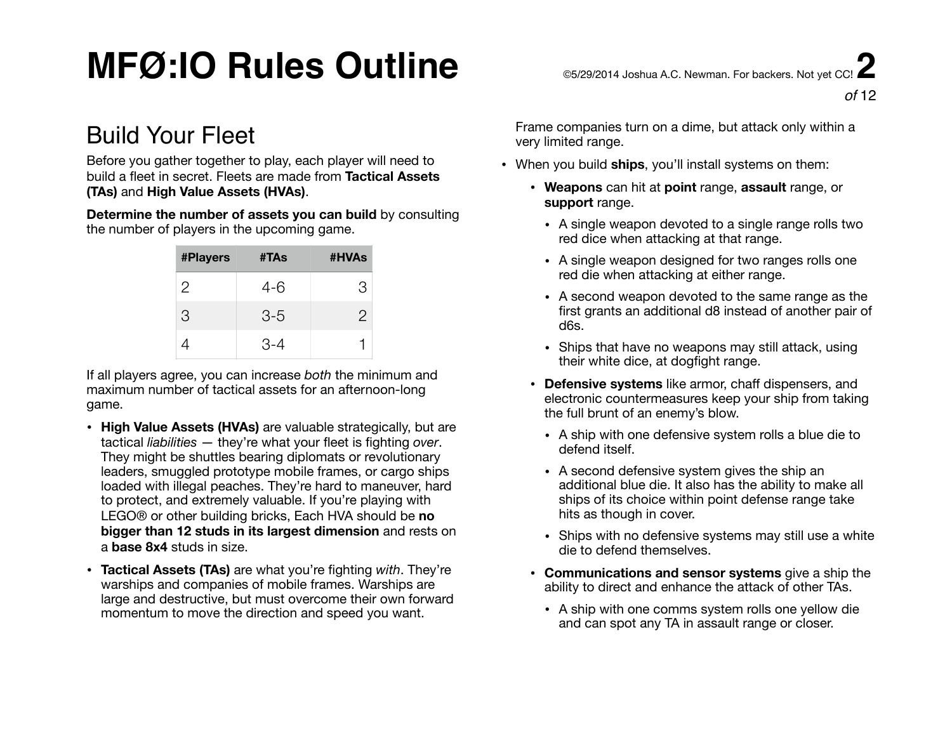### Build Your Fleet

Before you gather together to play, each player will need to build a fleet in secret. Fleets are made from **Tactical Assets (TAs)** and **High Value Assets (HVAs)**.

**Determine the number of assets you can build** by consulting the number of players in the upcoming game.

| <b>#Players</b> | #TAs  | #HVAs |
|-----------------|-------|-------|
| $\overline{2}$  | 4-6   | З     |
| 3               | $3-5$ | 2     |
|                 | 3-4   |       |

If all players agree, you can increase *both* the minimum and maximum number of tactical assets for an afternoon-long game.

- **High Value Assets (HVAs)** are valuable strategically, but are tactical *liabilities* — they're what your fleet is fighting *over*. They might be shuttles bearing diplomats or revolutionary leaders, smuggled prototype mobile frames, or cargo ships loaded with illegal peaches. They're hard to maneuver, hard to protect, and extremely valuable. If you're playing with LEGO® or other building bricks, Each HVA should be **no bigger than 12 studs in its largest dimension** and rests on a **base 8x4** studs in size.
- **Tactical Assets (TAs)** are what you're fighting *with*. They're warships and companies of mobile frames. Warships are large and destructive, but must overcome their own forward momentum to move the direction and speed you want.

Frame companies turn on a dime, but attack only within a very limited range.

- When you build **ships**, you'll install systems on them:
	- **Weapons** can hit at **point** range, **assault** range, or **support** range.
		- A single weapon devoted to a single range rolls two red dice when attacking at that range.
		- A single weapon designed for two ranges rolls one red die when attacking at either range.
		- A second weapon devoted to the same range as the first grants an additional d8 instead of another pair of d6s.
		- Ships that have no weapons may still attack, using their white dice, at dogfight range.
	- **Defensive systems** like armor, chaff dispensers, and electronic countermeasures keep your ship from taking the full brunt of an enemy's blow.
		- A ship with one defensive system rolls a blue die to defend itself.
		- A second defensive system gives the ship an additional blue die. It also has the ability to make all ships of its choice within point defense range take hits as though in cover.
		- Ships with no defensive systems may still use a white die to defend themselves.
	- **Communications and sensor systems** give a ship the ability to direct and enhance the attack of other TAs.
		- A ship with one comms system rolls one yellow die and can spot any TA in assault range or closer.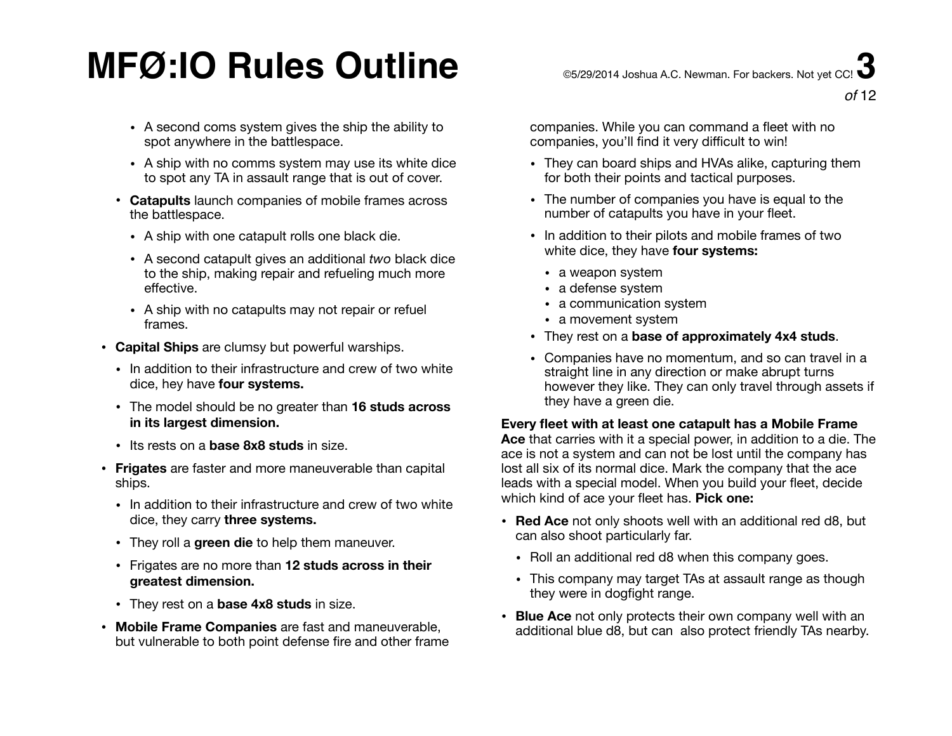- A second coms system gives the ship the ability to spot anywhere in the battlespace.
- A ship with no comms system may use its white dice to spot any TA in assault range that is out of cover.
- **Catapults** launch companies of mobile frames across the battlespace.
	- A ship with one catapult rolls one black die.
	- A second catapult gives an additional *two* black dice to the ship, making repair and refueling much more effective.
	- A ship with no catapults may not repair or refuel frames.
- **Capital Ships** are clumsy but powerful warships.
	- In addition to their infrastructure and crew of two white dice, hey have **four systems.**
	- The model should be no greater than **16 studs across in its largest dimension.**
	- Its rests on a **base 8x8 studs** in size.
- **Frigates** are faster and more maneuverable than capital ships.
	- In addition to their infrastructure and crew of two white dice, they carry **three systems.**
	- They roll a **green die** to help them maneuver.
	- Frigates are no more than **12 studs across in their greatest dimension.**
	- They rest on a **base 4x8 studs** in size.
- **Mobile Frame Companies** are fast and maneuverable, but vulnerable to both point defense fire and other frame

companies. While you can command a fleet with no companies, you'll find it very difficult to win!

- They can board ships and HVAs alike, capturing them for both their points and tactical purposes.
- The number of companies you have is equal to the number of catapults you have in your fleet.
- In addition to their pilots and mobile frames of two white dice, they have **four systems:**
	- a weapon system
	- a defense system
	- a communication system
	- a movement system
- They rest on a **base of approximately 4x4 studs**.
- Companies have no momentum, and so can travel in a straight line in any direction or make abrupt turns however they like. They can only travel through assets if they have a green die.

#### **Every fleet with at least one catapult has a Mobile Frame**

**Ace** that carries with it a special power, in addition to a die. The ace is not a system and can not be lost until the company has lost all six of its normal dice. Mark the company that the ace leads with a special model. When you build your fleet, decide which kind of ace your fleet has. **Pick one:** 

- **Red Ace** not only shoots well with an additional red d8, but can also shoot particularly far.
	- Roll an additional red d8 when this company goes.
	- This company may target TAs at assault range as though they were in dogfight range.
- **Blue Ace** not only protects their own company well with an additional blue d8, but can also protect friendly TAs nearby.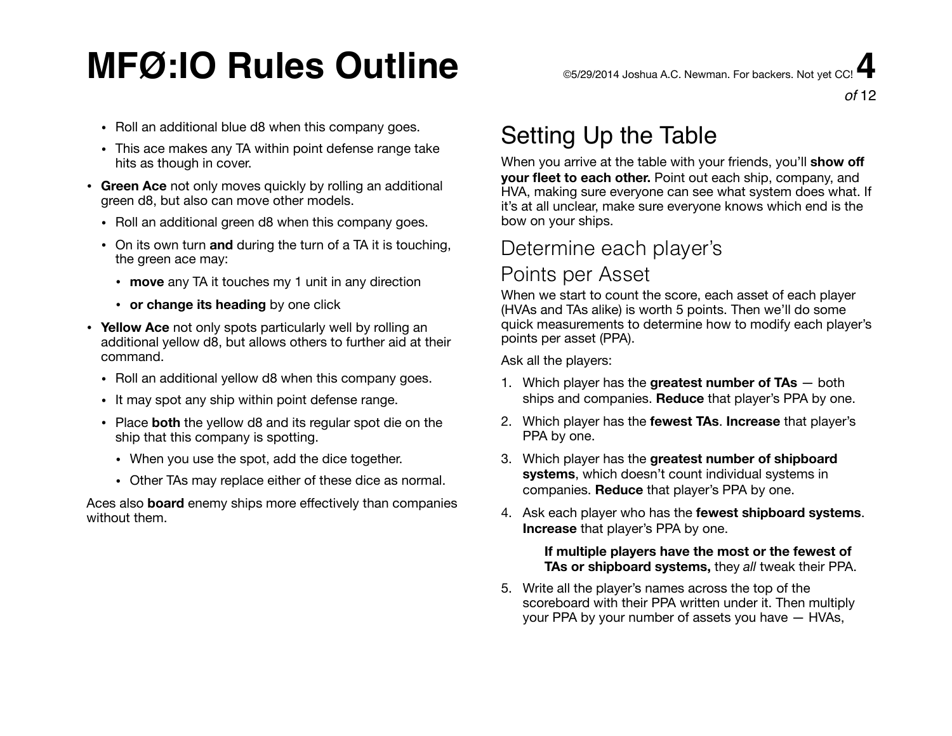# $\mathsf{MFG:IO}$  Rules Outline  $\mathsf{C}$   $\mathsf{C}$  and  $\mathsf{C}$   $\mathsf{C}$  and  $\mathsf{C}$   $\mathsf{C}$   $\mathsf{C}$   $\mathsf{C}$   $\mathsf{C}$   $\mathsf{C}$   $\mathsf{C}$   $\mathsf{C}$   $\mathsf{C}$   $\mathsf{C}$   $\mathsf{C}$   $\mathsf{C}$   $\mathsf{C}$   $\mathsf{C}$   $\mathsf{C}$   $\mathsf{C}$   $\mathsf{C}$

- Roll an additional blue d8 when this company goes.
- This ace makes any TA within point defense range take hits as though in cover.
- **Green Ace** not only moves quickly by rolling an additional green d8, but also can move other models.
	- Roll an additional green d8 when this company goes.
	- On its own turn **and** during the turn of a TA it is touching, the green ace may:
		- **move** any TA it touches my 1 unit in any direction
		- **or change its heading** by one click
- **Yellow Ace** not only spots particularly well by rolling an additional yellow d8, but allows others to further aid at their command.
	- Roll an additional yellow d8 when this company goes.
	- It may spot any ship within point defense range.
	- Place **both** the yellow d8 and its regular spot die on the ship that this company is spotting.
		- When you use the spot, add the dice together.
		- Other TAs may replace either of these dice as normal.

Aces also **board** enemy ships more effectively than companies without them.

## Setting Up the Table

When you arrive at the table with your friends, you'll **show off your fleet to each other.** Point out each ship, company, and HVA, making sure everyone can see what system does what. If it's at all unclear, make sure everyone knows which end is the bow on your ships.

### Determine each player's

### Points per Asset

When we start to count the score, each asset of each player (HVAs and TAs alike) is worth 5 points. Then we'll do some quick measurements to determine how to modify each player's points per asset (PPA).

Ask all the players:

- 1. Which player has the **greatest number of TAs** both ships and companies. **Reduce** that player's PPA by one.
- 2. Which player has the **fewest TAs**. **Increase** that player's PPA by one.
- 3. Which player has the **greatest number of shipboard systems**, which doesn't count individual systems in companies. **Reduce** that player's PPA by one.
- 4. Ask each player who has the **fewest shipboard systems**. **Increase** that player's PPA by one.

#### **If multiple players have the most or the fewest of TAs or shipboard systems,** they *all* tweak their PPA.

5. Write all the player's names across the top of the scoreboard with their PPA written under it. Then multiply your PPA by your number of assets you have — HVAs,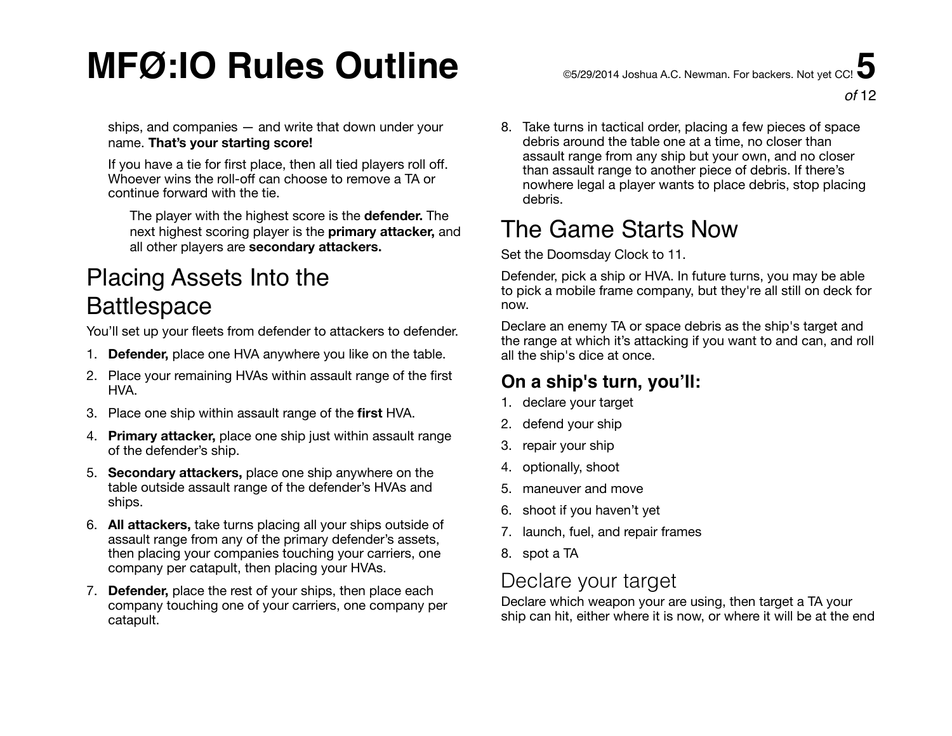ships, and companies — and write that down under your name. **That's your starting score!** 

If you have a tie for first place, then all tied players roll off. Whoever wins the roll-off can choose to remove a TA or continue forward with the tie.

The player with the highest score is the **defender.** The next highest scoring player is the **primary attacker,** and all other players are **secondary attackers.**

### Placing Assets Into the **Battlespace**

You'll set up your fleets from defender to attackers to defender.

- 1. **Defender,** place one HVA anywhere you like on the table.
- 2. Place your remaining HVAs within assault range of the first HVA.
- 3. Place one ship within assault range of the **first** HVA.
- 4. **Primary attacker,** place one ship just within assault range of the defender's ship.
- 5. **Secondary attackers,** place one ship anywhere on the table outside assault range of the defender's HVAs and ships.
- 6. **All attackers,** take turns placing all your ships outside of assault range from any of the primary defender's assets, then placing your companies touching your carriers, one company per catapult, then placing your HVAs.
- 7. **Defender,** place the rest of your ships, then place each company touching one of your carriers, one company per catapult.

8. Take turns in tactical order, placing a few pieces of space debris around the table one at a time, no closer than assault range from any ship but your own, and no closer than assault range to another piece of debris. If there's nowhere legal a player wants to place debris, stop placing debris.

## The Game Starts Now

Set the Doomsday Clock to 11.

Defender, pick a ship or HVA. In future turns, you may be able to pick a mobile frame company, but they're all still on deck for now.

Declare an enemy TA or space debris as the ship's target and the range at which it's attacking if you want to and can, and roll all the ship's dice at once.

### **On a ship's turn, you'll:**

- 1. declare your target
- 2. defend your ship
- 3. repair your ship
- 4. optionally, shoot
- 5. maneuver and move
- 6. shoot if you haven't yet
- 7. launch, fuel, and repair frames
- 8. spot a TA

### Declare your target

Declare which weapon your are using, then target a TA your ship can hit, either where it is now, or where it will be at the end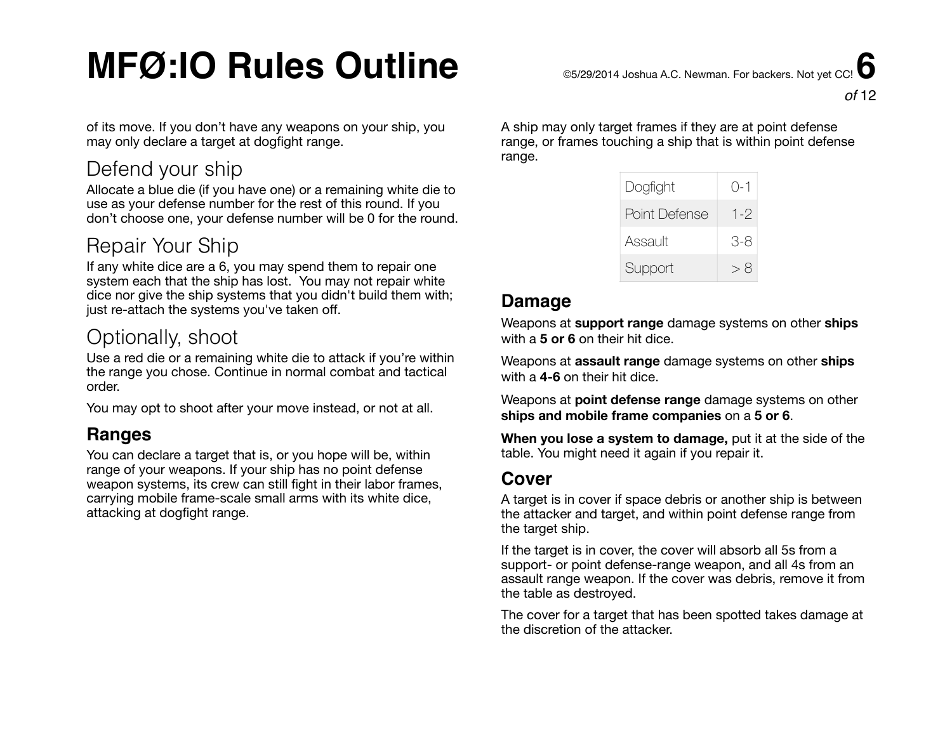of its move. If you don't have any weapons on your ship, you may only declare a target at dogfight range.

### Defend your ship

Allocate a blue die (if you have one) or a remaining white die to use as your defense number for the rest of this round. If you don't choose one, your defense number will be 0 for the round.

### Repair Your Ship

If any white dice are a 6, you may spend them to repair one system each that the ship has lost. You may not repair white dice nor give the ship systems that you didn't build them with; just re-attach the systems you've taken off.

### Optionally, shoot

Use a red die or a remaining white die to attack if you're within the range you chose. Continue in normal combat and tactical order.

You may opt to shoot after your move instead, or not at all.

#### **Ranges**

You can declare a target that is, or you hope will be, within range of your weapons. If your ship has no point defense weapon systems, its crew can still fight in their labor frames, carrying mobile frame-scale small arms with its white dice, attacking at dogfight range.

A ship may only target frames if they are at point defense range, or frames touching a ship that is within point defense range.

| Dogfight      | $() - 1$ |
|---------------|----------|
| Point Defense | $1 - 2$  |
| Assault       | 3-8      |
| Support       | > 8      |

#### **Damage**

Weapons at **support range** damage systems on other **ships** with a **5 or 6** on their hit dice.

Weapons at **assault range** damage systems on other **ships** with a **4-6** on their hit dice.

Weapons at **point defense range** damage systems on other **ships and mobile frame companies** on a **5 or 6**.

**When you lose a system to damage,** put it at the side of the table. You might need it again if you repair it.

#### **Cover**

A target is in cover if space debris or another ship is between the attacker and target, and within point defense range from the target ship.

If the target is in cover, the cover will absorb all 5s from a support- or point defense-range weapon, and all 4s from an assault range weapon. If the cover was debris, remove it from the table as destroyed.

The cover for a target that has been spotted takes damage at the discretion of the attacker.

*of* 12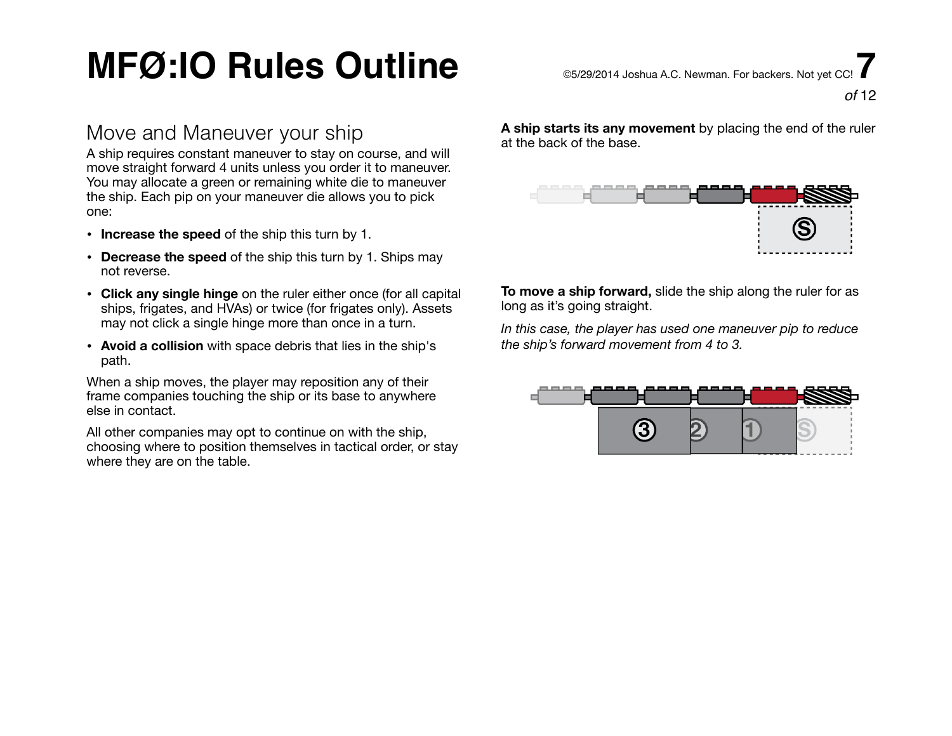### Move and Maneuver your ship

A ship requires constant maneuver to stay on course, and will move straight forward 4 units unless you order it to maneuver. You may allocate a green or remaining white die to maneuver the ship. Each pip on your maneuver die allows you to pick one:

- **Increase the speed** of the ship this turn by 1.
- **Decrease the speed** of the ship this turn by 1. Ships may not reverse.
- **Click any single hinge** on the ruler either once (for all capital ships, frigates, and HVAs) or twice (for frigates only). Assets may not click a single hinge more than once in a turn.
- **Avoid a collision** with space debris that lies in the ship's path.

When a ship moves, the player may reposition any of their frame companies touching the ship or its base to anywhere else in contact.

All other companies may opt to continue on with the ship, choosing where to position themselves in tactical order, or stay where they are on the table.

**A ship starts its any movement** by placing the end of the ruler at the back of the base.

| --<br>.,<br>ı<br>. . | . . |
|----------------------|-----|
|                      |     |
|                      |     |

**To move a ship forward,** slide the ship along the ruler for as long as it's going straight.

*In this case, the player has used one maneuver pip to reduce the ship's forward movement from 4 to 3.*

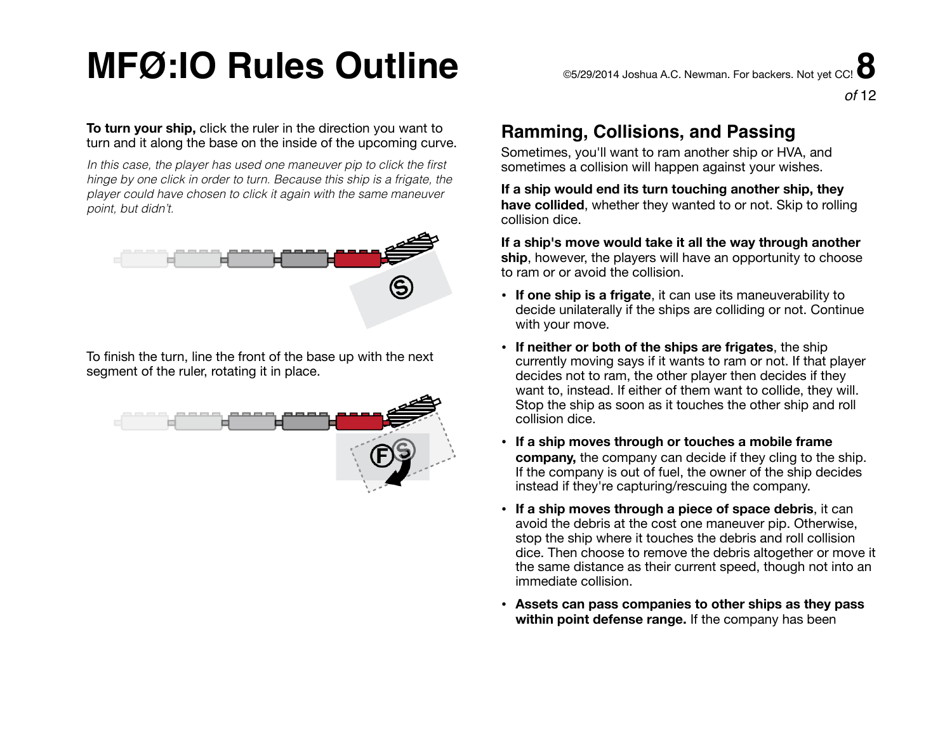#### **To turn your ship,** click the ruler in the direction you want to turn and it along the base on the inside of the upcoming curve.

*In this case, the player has used one maneuver pip to click the first hinge by one click in order to turn. Because this ship is a frigate, the player could have chosen to click it again with the same maneuver point, but didn't.*



To finish the turn, line the front of the base up with the next segment of the ruler, rotating it in place.



### **Ramming, Collisions, and Passing**

Sometimes, you'll want to ram another ship or HVA, and sometimes a collision will happen against your wishes.

**If a ship would end its turn touching another ship, they have collided**, whether they wanted to or not. Skip to rolling collision dice.

**If a ship's move would take it all the way through another ship**, however, the players will have an opportunity to choose to ram or or avoid the collision.

- **If one ship is a frigate**, it can use its maneuverability to decide unilaterally if the ships are colliding or not. Continue with your move.
- **If neither or both of the ships are frigates**, the ship currently moving says if it wants to ram or not. If that player decides not to ram, the other player then decides if they want to, instead. If either of them want to collide, they will. Stop the ship as soon as it touches the other ship and roll collision dice.
- **If a ship moves through or touches a mobile frame company,** the company can decide if they cling to the ship. If the company is out of fuel, the owner of the ship decides instead if they're capturing/rescuing the company.
- **If a ship moves through a piece of space debris**, it can avoid the debris at the cost one maneuver pip. Otherwise, stop the ship where it touches the debris and roll collision dice. Then choose to remove the debris altogether or move it the same distance as their current speed, though not into an immediate collision.
- **• Assets can pass companies to other ships as they pass within point defense range.** If the company has been

*of* 12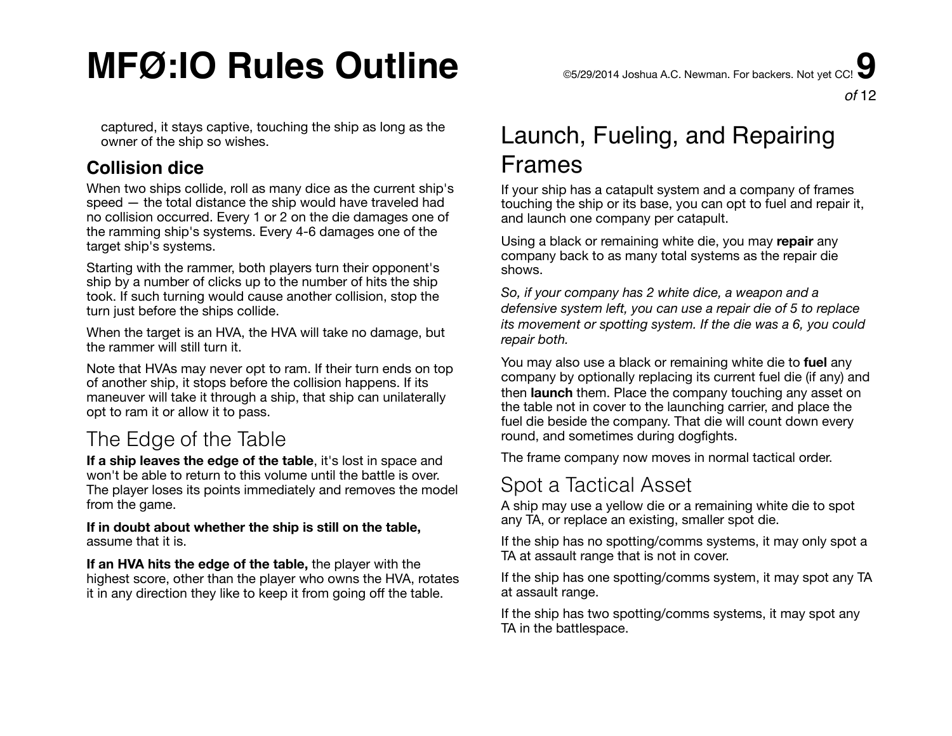captured, it stays captive, touching the ship as long as the owner of the ship so wishes.

### **Collision dice**

When two ships collide, roll as many dice as the current ship's speed — the total distance the ship would have traveled had no collision occurred. Every 1 or 2 on the die damages one of the ramming ship's systems. Every 4-6 damages one of the target ship's systems.

Starting with the rammer, both players turn their opponent's ship by a number of clicks up to the number of hits the ship took. If such turning would cause another collision, stop the turn just before the ships collide.

When the target is an HVA, the HVA will take no damage, but the rammer will still turn it.

Note that HVAs may never opt to ram. If their turn ends on top of another ship, it stops before the collision happens. If its maneuver will take it through a ship, that ship can unilaterally opt to ram it or allow it to pass.

### The Edge of the Table

**If a ship leaves the edge of the table**, it's lost in space and won't be able to return to this volume until the battle is over. The player loses its points immediately and removes the model from the game.

**If in doubt about whether the ship is still on the table,** assume that it is.

**If an HVA hits the edge of the table,** the player with the highest score, other than the player who owns the HVA, rotates it in any direction they like to keep it from going off the table.

### Launch, Fueling, and Repairing Frames

If your ship has a catapult system and a company of frames touching the ship or its base, you can opt to fuel and repair it, and launch one company per catapult.

Using a black or remaining white die, you may **repair** any company back to as many total systems as the repair die shows.

*So, if your company has 2 white dice, a weapon and a defensive system left, you can use a repair die of 5 to replace its movement or spotting system. If the die was a 6, you could repair both.* 

You may also use a black or remaining white die to **fuel** any company by optionally replacing its current fuel die (if any) and then **launch** them. Place the company touching any asset on the table not in cover to the launching carrier, and place the fuel die beside the company. That die will count down every round, and sometimes during dogfights.

The frame company now moves in normal tactical order.

### Spot a Tactical Asset

A ship may use a yellow die or a remaining white die to spot any TA, or replace an existing, smaller spot die.

If the ship has no spotting/comms systems, it may only spot a TA at assault range that is not in cover.

If the ship has one spotting/comms system, it may spot any TA at assault range.

If the ship has two spotting/comms systems, it may spot any TA in the battlespace.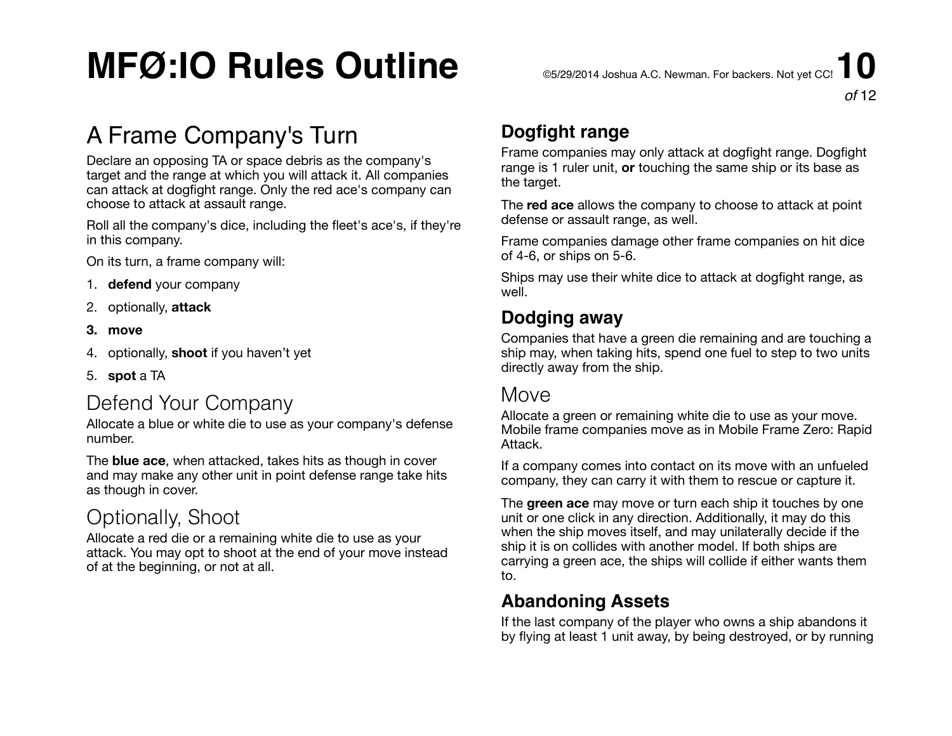### A Frame Company's Turn

Declare an opposing TA or space debris as the company's target and the range at which you will attack it. All companies can attack at dogfight range. Only the red ace's company can choose to attack at assault range.

Roll all the company's dice, including the fleet's ace's, if they're in this company.

On its turn, a frame company will:

- 1. **defend** your company
- 2. optionally, **attack**
- **3. move**
- 4. optionally, **shoot** if you haven't yet
- 5. **spot** a TA

### Defend Your Company

Allocate a blue or white die to use as your company's defense number.

The **blue ace**, when attacked, takes hits as though in cover and may make any other unit in point defense range take hits as though in cover.

### Optionally, Shoot

Allocate a red die or a remaining white die to use as your attack. You may opt to shoot at the end of your move instead of at the beginning, or not at all.

### **Dogfight range**

Frame companies may only attack at dogfight range. Dogfight range is 1 ruler unit, **or** touching the same ship or its base as the target.

The **red ace** allows the company to choose to attack at point defense or assault range, as well.

Frame companies damage other frame companies on hit dice of 4-6, or ships on 5-6.

Ships may use their white dice to attack at dogfight range, as well.

#### **Dodging away**

Companies that have a green die remaining and are touching a ship may, when taking hits, spend one fuel to step to two units directly away from the ship.

### **Move**

Allocate a green or remaining white die to use as your move. Mobile frame companies move as in Mobile Frame Zero: Rapid Attack.

If a company comes into contact on its move with an unfueled company, they can carry it with them to rescue or capture it.

The **green ace** may move or turn each ship it touches by one unit or one click in any direction. Additionally, it may do this when the ship moves itself, and may unilaterally decide if the ship it is on collides with another model. If both ships are carrying a green ace, the ships will collide if either wants them to.

#### **Abandoning Assets**

If the last company of the player who owns a ship abandons it by flying at least 1 unit away, by being destroyed, or by running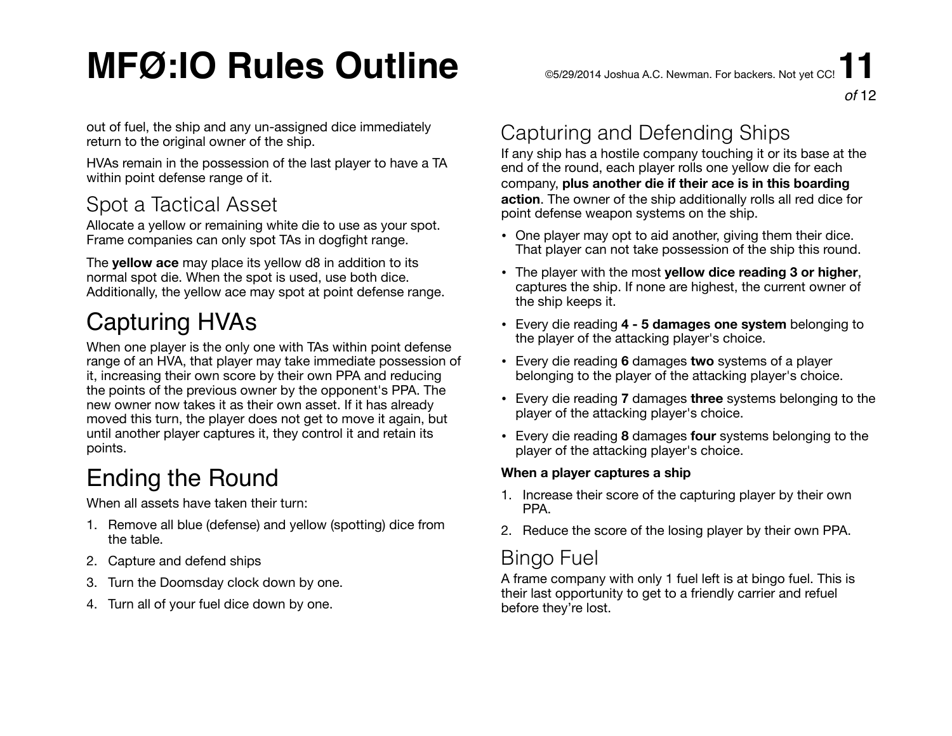out of fuel, the ship and any un-assigned dice immediately return to the original owner of the ship.

HVAs remain in the possession of the last player to have a TA within point defense range of it.

### Spot a Tactical Asset

Allocate a yellow or remaining white die to use as your spot. Frame companies can only spot TAs in dogfight range.

The **yellow ace** may place its yellow d8 in addition to its normal spot die. When the spot is used, use both dice. Additionally, the yellow ace may spot at point defense range.

## Capturing HVAs

When one player is the only one with TAs within point defense range of an HVA, that player may take immediate possession of it, increasing their own score by their own PPA and reducing the points of the previous owner by the opponent's PPA. The new owner now takes it as their own asset. If it has already moved this turn, the player does not get to move it again, but until another player captures it, they control it and retain its points.

### Ending the Round

When all assets have taken their turn:

- 1. Remove all blue (defense) and yellow (spotting) dice from the table.
- 2. Capture and defend ships
- 3. Turn the Doomsday clock down by one.
- 4. Turn all of your fuel dice down by one.

### Capturing and Defending Ships

If any ship has a hostile company touching it or its base at the end of the round, each player rolls one yellow die for each company, **plus another die if their ace is in this boarding action**. The owner of the ship additionally rolls all red dice for point defense weapon systems on the ship.

- One player may opt to aid another, giving them their dice. That player can not take possession of the ship this round.
- The player with the most **yellow dice reading 3 or higher**, captures the ship. If none are highest, the current owner of the ship keeps it.
- Every die reading **4 5 damages one system** belonging to the player of the attacking player's choice.
- Every die reading **6** damages **two** systems of a player belonging to the player of the attacking player's choice.
- Every die reading **7** damages **three** systems belonging to the player of the attacking player's choice.
- Every die reading **8** damages **four** systems belonging to the player of the attacking player's choice.

#### **When a player captures a ship**

- 1. Increase their score of the capturing player by their own PPA.
- 2. Reduce the score of the losing player by their own PPA.

### Bingo Fuel

A frame company with only 1 fuel left is at bingo fuel. This is their last opportunity to get to a friendly carrier and refuel before they're lost.